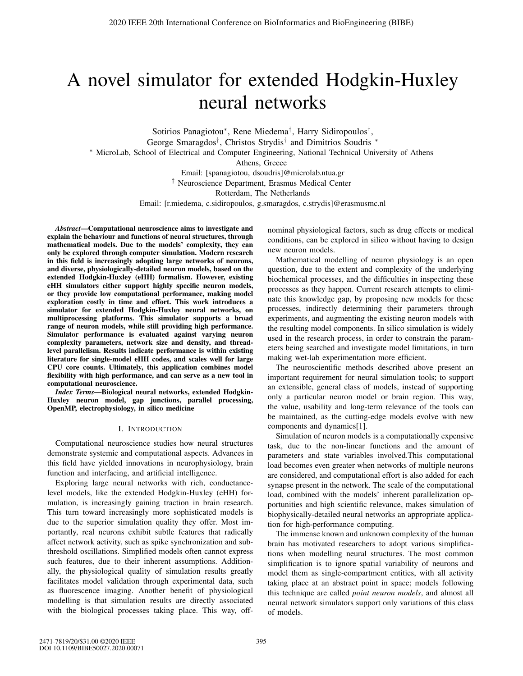# A novel simulator for extended Hodgkin-Huxley neural networks

Sotirios Panagiotou∗, Rene Miedema†, Harry Sidiropoulos†, George Smaragdos<sup>†</sup>, Christos Strydis<sup>†</sup> and Dimitrios Soudris <sup>∗</sup> ∗ MicroLab, School of Electrical and Computer Engineering, National Technical University of Athens Athens, Greece Email: [spanagiotou, dsoudris]@microlab.ntua.gr † Neuroscience Department, Erasmus Medical Center Rotterdam, The Netherlands Email: [r.miedema, c.sidiropoulos, g.smaragdos, c.strydis]@erasmusmc.nl

*Abstract*—Computational neuroscience aims to investigate and explain the behaviour and functions of neural structures, through mathematical models. Due to the models' complexity, they can only be explored through computer simulation. Modern research in this field is increasingly adopting large networks of neurons, and diverse, physiologically-detailed neuron models, based on the extended Hodgkin-Huxley (eHH) formalism. However, existing eHH simulators either support highly specific neuron models, or they provide low computational performance, making model exploration costly in time and effort. This work introduces a simulator for extended Hodgkin-Huxley neural networks, on multiprocessing platforms. This simulator supports a broad range of neuron models, while still providing high performance. Simulator performance is evaluated against varying neuron complexity parameters, network size and density, and threadlevel parallelism. Results indicate performance is within existing literature for single-model eHH codes, and scales well for large CPU core counts. Ultimately, this application combines model flexibility with high performance, and can serve as a new tool in computational neuroscience.

*Index Terms*—Biological neural networks, extended Hodgkin-Huxley neuron model, gap junctions, parallel processing, OpenMP, electrophysiology, in silico medicine

### I. INTRODUCTION

Computational neuroscience studies how neural structures demonstrate systemic and computational aspects. Advances in this field have yielded innovations in neurophysiology, brain function and interfacing, and artificial intelligence.

Exploring large neural networks with rich, conductancelevel models, like the extended Hodgkin-Huxley (eHH) formulation, is increasingly gaining traction in brain research. This turn toward increasingly more sophisticated models is due to the superior simulation quality they offer. Most importantly, real neurons exhibit subtle features that radically affect network activity, such as spike synchronization and subthreshold oscillations. Simplified models often cannot express such features, due to their inherent assumptions. Additionally, the physiological quality of simulation results greatly facilitates model validation through experimental data, such as fluorescence imaging. Another benefit of physiological modelling is that simulation results are directly associated with the biological processes taking place. This way, offnominal physiological factors, such as drug effects or medical conditions, can be explored in silico without having to design new neuron models.

Mathematical modelling of neuron physiology is an open question, due to the extent and complexity of the underlying biochemical processes, and the difficulties in inspecting these processes as they happen. Current research attempts to eliminate this knowledge gap, by proposing new models for these processes, indirectly determining their parameters through experiments, and augmenting the existing neuron models with the resulting model components. In silico simulation is widely used in the research process, in order to constrain the parameters being searched and investigate model limitations, in turn making wet-lab experimentation more efficient.

The neuroscientific methods described above present an important requirement for neural simulation tools; to support an extensible, general class of models, instead of supporting only a particular neuron model or brain region. This way, the value, usability and long-term relevance of the tools can be maintained, as the cutting-edge models evolve with new components and dynamics[1].

Simulation of neuron models is a computationally expensive task, due to the non-linear functions and the amount of parameters and state variables involved.This computational load becomes even greater when networks of multiple neurons are considered, and computational effort is also added for each synapse present in the network. The scale of the computational load, combined with the models' inherent parallelization opportunities and high scientific relevance, makes simulation of biophysically-detailed neural networks an appropriate application for high-performance computing.

The immense known and unknown complexity of the human brain has motivated researchers to adopt various simplifications when modelling neural structures. The most common simplification is to ignore spatial variability of neurons and model them as single-compartment entities, with all activity taking place at an abstract point in space; models following this technique are called *point neuron models*, and almost all neural network simulators support only variations of this class of models.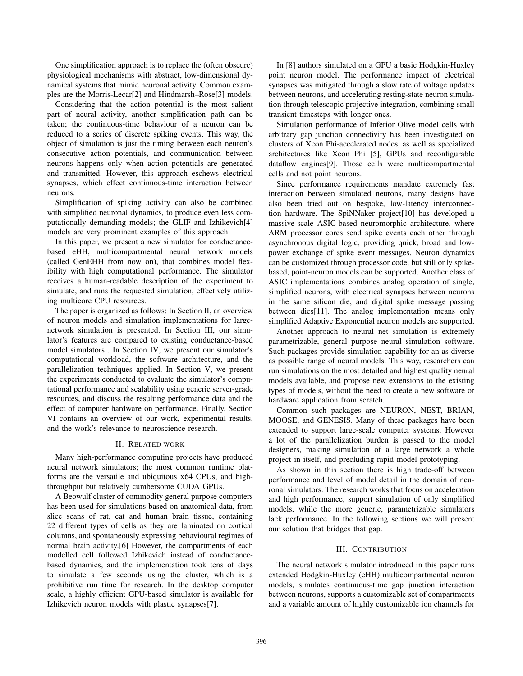One simplification approach is to replace the (often obscure) physiological mechanisms with abstract, low-dimensional dynamical systems that mimic neuronal activity. Common examples are the Morris-Lecar[2] and Hindmarsh–Rose[3] models.

Considering that the action potential is the most salient part of neural activity, another simplification path can be taken; the continuous-time behaviour of a neuron can be reduced to a series of discrete spiking events. This way, the object of simulation is just the timing between each neuron's consecutive action potentials, and communication between neurons happens only when action potentials are generated and transmitted. However, this approach eschews electrical synapses, which effect continuous-time interaction between neurons.

Simplification of spiking activity can also be combined with simplified neuronal dynamics, to produce even less computationally demanding models; the GLIF and Izhikevich[4] models are very prominent examples of this approach.

In this paper, we present a new simulator for conductancebased eHH, multicompartmental neural network models (called GenEHH from now on), that combines model flexibility with high computational performance. The simulator receives a human-readable description of the experiment to simulate, and runs the requested simulation, effectively utilizing multicore CPU resources.

The paper is organized as follows: In Section II, an overview of neuron models and simulation implementations for largenetwork simulation is presented. In Section III, our simulator's features are compared to existing conductance-based model simulators . In Section IV, we present our simulator's computational workload, the software architecture, and the parallelization techniques applied. In Section V, we present the experiments conducted to evaluate the simulator's computational performance and scalability using generic server-grade resources, and discuss the resulting performance data and the effect of computer hardware on performance. Finally, Section VI contains an overview of our work, experimental results, and the work's relevance to neuroscience research.

#### II. RELATED WORK

Many high-performance computing projects have produced neural network simulators; the most common runtime platforms are the versatile and ubiquitous x64 CPUs, and highthroughput but relatively cumbersome CUDA GPUs.

A Beowulf cluster of commodity general purpose computers has been used for simulations based on anatomical data, from slice scans of rat, cat and human brain tissue, containing 22 different types of cells as they are laminated on cortical columns, and spontaneously expressing behavioural regimes of normal brain activity.[6] However, the compartments of each modelled cell followed Izhikevich instead of conductancebased dynamics, and the implementation took tens of days to simulate a few seconds using the cluster, which is a prohibitive run time for research. In the desktop computer scale, a highly efficient GPU-based simulator is available for Izhikevich neuron models with plastic synapses[7].

In [8] authors simulated on a GPU a basic Hodgkin-Huxley point neuron model. The performance impact of electrical synapses was mitigated through a slow rate of voltage updates between neurons, and accelerating resting-state neuron simulation through telescopic projective integration, combining small transient timesteps with longer ones.

Simulation performance of Inferior Olive model cells with arbitrary gap junction connectivity has been investigated on clusters of Xeon Phi-accelerated nodes, as well as specialized architectures like Xeon Phi [5], GPUs and reconfigurable dataflow engines[9]. Those cells were multicompartmental cells and not point neurons.

Since performance requirements mandate extremely fast interaction between simulated neurons, many designs have also been tried out on bespoke, low-latency interconnection hardware. The SpiNNaker project[10] has developed a massive-scale ASIC-based neuromorphic architecture, where ARM processor cores send spike events each other through asynchronous digital logic, providing quick, broad and lowpower exchange of spike event messages. Neuron dynamics can be customized through processor code, but still only spikebased, point-neuron models can be supported. Another class of ASIC implementations combines analog operation of single, simplified neurons, with electrical synapses between neurons in the same silicon die, and digital spike message passing between dies[11]. The analog implementation means only simplified Adaptive Exponential neuron models are supported.

Another approach to neural net simulation is extremely parametrizable, general purpose neural simulation software. Such packages provide simulation capability for an as diverse as possible range of neural models. This way, researchers can run simulations on the most detailed and highest quality neural models available, and propose new extensions to the existing types of models, without the need to create a new software or hardware application from scratch.

Common such packages are NEURON, NEST, BRIAN, MOOSE, and GENESIS. Many of these packages have been extended to support large-scale computer systems. However a lot of the parallelization burden is passed to the model designers, making simulation of a large network a whole project in itself, and precluding rapid model prototyping.

As shown in this section there is high trade-off between performance and level of model detail in the domain of neuronal simulators. The research works that focus on acceleration and high performance, support simulation of only simplified models, while the more generic, parametrizable simulators lack performance. In the following sections we will present our solution that bridges that gap.

## III. CONTRIBUTION

The neural network simulator introduced in this paper runs extended Hodgkin-Huxley (eHH) multicompartmental neuron models, simulates continuous-time gap junction interaction between neurons, supports a customizable set of compartments and a variable amount of highly customizable ion channels for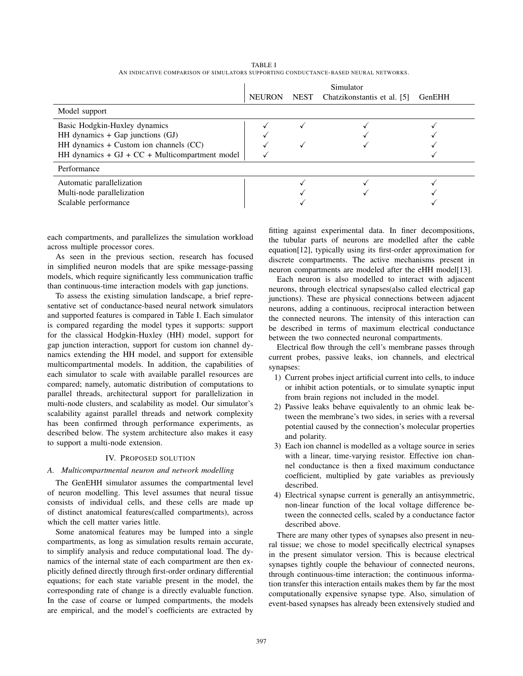|                                                 | Simulator     |      |                             |        |
|-------------------------------------------------|---------------|------|-----------------------------|--------|
|                                                 | <b>NEURON</b> | NEST | Chatzikonstantis et al. [5] | GenEHH |
| Model support                                   |               |      |                             |        |
| Basic Hodgkin-Huxley dynamics                   |               |      |                             |        |
| HH dynamics $+$ Gap junctions (GJ)              |               |      |                             |        |
| HH dynamics + Custom ion channels (CC)          |               |      |                             |        |
| HH dynamics + $GI + CC + Multicompartner model$ |               |      |                             |        |
| Performance                                     |               |      |                             |        |
| Automatic parallelization                       |               |      |                             |        |
| Multi-node parallelization                      |               |      |                             |        |
| Scalable performance                            |               |      |                             |        |

TABLE I AN INDICATIVE COMPARISON OF SIMULATORS SUPPORTING CONDUCTANCE-BASED NEURAL NETWORKS.

each compartments, and parallelizes the simulation workload across multiple processor cores.

As seen in the previous section, research has focused in simplified neuron models that are spike message-passing models, which require significantly less communication traffic than continuous-time interaction models with gap junctions.

To assess the existing simulation landscape, a brief representative set of conductance-based neural network simulators and supported features is compared in Table I. Each simulator is compared regarding the model types it supports: support for the classical Hodgkin-Huxley (HH) model, support for gap junction interaction, support for custom ion channel dynamics extending the HH model, and support for extensible multicompartmental models. In addition, the capabilities of each simulator to scale with available parallel resources are compared; namely, automatic distribution of computations to parallel threads, architectural support for parallelization in multi-node clusters, and scalability as model. Our simulator's scalability against parallel threads and network complexity has been confirmed through performance experiments, as described below. The system architecture also makes it easy to support a multi-node extension.

#### IV. PROPOSED SOLUTION

#### *A. Multicompartmental neuron and network modelling*

The GenEHH simulator assumes the compartmental level of neuron modelling. This level assumes that neural tissue consists of individual cells, and these cells are made up of distinct anatomical features(called compartments), across which the cell matter varies little.

Some anatomical features may be lumped into a single compartments, as long as simulation results remain accurate, to simplify analysis and reduce computational load. The dynamics of the internal state of each compartment are then explicitly defined directly through first-order ordinary differential equations; for each state variable present in the model, the corresponding rate of change is a directly evaluable function. In the case of coarse or lumped compartments, the models are empirical, and the model's coefficients are extracted by fitting against experimental data. In finer decompositions, the tubular parts of neurons are modelled after the cable equation[12], typically using its first-order approximation for discrete compartments. The active mechanisms present in neuron compartments are modeled after the eHH model[13].

Each neuron is also modelled to interact with adjacent neurons, through electrical synapses(also called electrical gap junctions). These are physical connections between adjacent neurons, adding a continuous, reciprocal interaction between the connected neurons. The intensity of this interaction can be described in terms of maximum electrical conductance between the two connected neuronal compartments.

Electrical flow through the cell's membrane passes through current probes, passive leaks, ion channels, and electrical synapses:

- 1) Current probes inject artificial current into cells, to induce or inhibit action potentials, or to simulate synaptic input from brain regions not included in the model.
- 2) Passive leaks behave equivalently to an ohmic leak between the membrane's two sides, in series with a reversal potential caused by the connection's molecular properties and polarity.
- 3) Each ion channel is modelled as a voltage source in series with a linear, time-varying resistor. Effective ion channel conductance is then a fixed maximum conductance coefficient, multiplied by gate variables as previously described.
- 4) Electrical synapse current is generally an antisymmetric, non-linear function of the local voltage difference between the connected cells, scaled by a conductance factor described above.

There are many other types of synapses also present in neural tissue; we chose to model specifically electrical synapses in the present simulator version. This is because electrical synapses tightly couple the behaviour of connected neurons, through continuous-time interaction; the continuous information transfer this interaction entails makes them by far the most computationally expensive synapse type. Also, simulation of event-based synapses has already been extensively studied and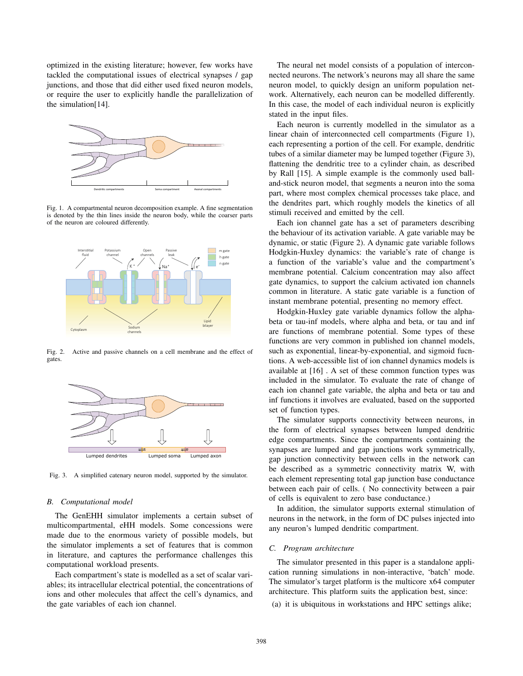optimized in the existing literature; however, few works have tackled the computational issues of electrical synapses / gap junctions, and those that did either used fixed neuron models, or require the user to explicitly handle the parallelization of the simulation[14].



Fig. 1. A compartmental neuron decomposition example. A fine segmentation is denoted by the thin lines inside the neuron body, while the coarser parts of the neuron are coloured differently.



Fig. 2. Active and passive channels on a cell membrane and the effect of gates.



Fig. 3. A simplified catenary neuron model, supported by the simulator.

### *B. Computational model*

The GenEHH simulator implements a certain subset of multicompartmental, eHH models. Some concessions were made due to the enormous variety of possible models, but the simulator implements a set of features that is common in literature, and captures the performance challenges this computational workload presents.

Each compartment's state is modelled as a set of scalar variables; its intracellular electrical potential, the concentrations of ions and other molecules that affect the cell's dynamics, and the gate variables of each ion channel.

The neural net model consists of a population of interconnected neurons. The network's neurons may all share the same neuron model, to quickly design an uniform population network. Alternatively, each neuron can be modelled differently. In this case, the model of each individual neuron is explicitly stated in the input files.

Each neuron is currently modelled in the simulator as a linear chain of interconnected cell compartments (Figure 1), each representing a portion of the cell. For example, dendritic tubes of a similar diameter may be lumped together (Figure 3), flattening the dendritic tree to a cylinder chain, as described by Rall [15]. A simple example is the commonly used balland-stick neuron model, that segments a neuron into the soma part, where most complex chemical processes take place, and the dendrites part, which roughly models the kinetics of all stimuli received and emitted by the cell.

Each ion channel gate has a set of parameters describing the behaviour of its activation variable. A gate variable may be dynamic, or static (Figure 2). A dynamic gate variable follows Hodgkin-Huxley dynamics: the variable's rate of change is a function of the variable's value and the compartment's membrane potential. Calcium concentration may also affect gate dynamics, to support the calcium activated ion channels common in literature. A static gate variable is a function of instant membrane potential, presenting no memory effect.

Hodgkin-Huxley gate variable dynamics follow the alphabeta or tau-inf models, where alpha and beta, or tau and inf are functions of membrane potential. Some types of these functions are very common in published ion channel models, such as exponential, linear-by-exponential, and sigmoid fucntions. A web-accessible list of ion channel dynamics models is available at [16] . A set of these common function types was included in the simulator. To evaluate the rate of change of each ion channel gate variable, the alpha and beta or tau and inf functions it involves are evaluated, based on the supported set of function types.

The simulator supports connectivity between neurons, in the form of electrical synapses between lumped dendritic edge compartments. Since the compartments containing the synapses are lumped and gap junctions work symmetrically, gap junction connectivity between cells in the network can be described as a symmetric connectivity matrix W, with each element representing total gap junction base conductance between each pair of cells. ( No connectivity between a pair of cells is equivalent to zero base conductance.)

In addition, the simulator supports external stimulation of neurons in the network, in the form of DC pulses injected into any neuron's lumped dendritic compartment.

#### *C. Program architecture*

The simulator presented in this paper is a standalone application running simulations in non-interactive, 'batch' mode. The simulator's target platform is the multicore x64 computer architecture. This platform suits the application best, since:

(a) it is ubiquitous in workstations and HPC settings alike;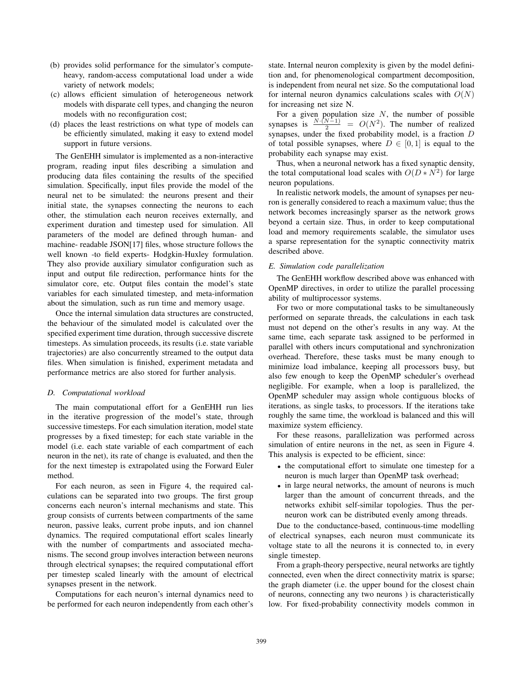- (b) provides solid performance for the simulator's computeheavy, random-access computational load under a wide variety of network models;
- (c) allows efficient simulation of heterogeneous network models with disparate cell types, and changing the neuron models with no reconfiguration cost;
- (d) places the least restrictions on what type of models can be efficiently simulated, making it easy to extend model support in future versions.

The GenEHH simulator is implemented as a non-interactive program, reading input files describing a simulation and producing data files containing the results of the specified simulation. Specifically, input files provide the model of the neural net to be simulated: the neurons present and their initial state, the synapses connecting the neurons to each other, the stimulation each neuron receives externally, and experiment duration and timestep used for simulation. All parameters of the model are defined through human- and machine- readable JSON[17] files, whose structure follows the well known -to field experts- Hodgkin-Huxley formulation. They also provide auxiliary simulator configuration such as input and output file redirection, performance hints for the simulator core, etc. Output files contain the model's state variables for each simulated timestep, and meta-information about the simulation, such as run time and memory usage.

Once the internal simulation data structures are constructed, the behaviour of the simulated model is calculated over the specified experiment time duration, through successive discrete timesteps. As simulation proceeds, its results (i.e. state variable trajectories) are also concurrently streamed to the output data files. When simulation is finished, experiment metadata and performance metrics are also stored for further analysis.

#### *D. Computational workload*

The main computational effort for a GenEHH run lies in the iterative progression of the model's state, through successive timesteps. For each simulation iteration, model state progresses by a fixed timestep; for each state variable in the model (i.e. each state variable of each compartment of each neuron in the net), its rate of change is evaluated, and then the for the next timestep is extrapolated using the Forward Euler method.

For each neuron, as seen in Figure 4, the required calculations can be separated into two groups. The first group concerns each neuron's internal mechanisms and state. This group consists of currents between compartments of the same neuron, passive leaks, current probe inputs, and ion channel dynamics. The required computational effort scales linearly with the number of compartments and associated mechanisms. The second group involves interaction between neurons through electrical synapses; the required computational effort per timestep scaled linearly with the amount of electrical synapses present in the network.

Computations for each neuron's internal dynamics need to be performed for each neuron independently from each other's state. Internal neuron complexity is given by the model definition and, for phenomenological compartment decomposition, is independent from neural net size. So the computational load for internal neuron dynamics calculations scales with  $O(N)$ for increasing net size N.

For a given population size  $N$ , the number of possible synapses is  $\frac{N \cdot (N-1)}{2} = O(N^2)$ . The number of realized synapses, under the fixed probability model, is a fraction  $D$ of total possible synapses, where  $D \in [0, 1]$  is equal to the probability each synapse may exist.

Thus, when a neuronal network has a fixed synaptic density, the total computational load scales with  $O(D*N^2)$  for large neuron populations.

In realistic network models, the amount of synapses per neuron is generally considered to reach a maximum value; thus the network becomes increasingly sparser as the network grows beyond a certain size. Thus, in order to keep computational load and memory requirements scalable, the simulator uses a sparse representation for the synaptic connectivity matrix described above.

### *E. Simulation code parallelization*

The GenEHH workflow described above was enhanced with OpenMP directives, in order to utilize the parallel processing ability of multiprocessor systems.

For two or more computational tasks to be simultaneously performed on separate threads, the calculations in each task must not depend on the other's results in any way. At the same time, each separate task assigned to be performed in parallel with others incurs computational and synchronization overhead. Therefore, these tasks must be many enough to minimize load imbalance, keeping all processors busy, but also few enough to keep the OpenMP scheduler's overhead negligible. For example, when a loop is parallelized, the OpenMP scheduler may assign whole contiguous blocks of iterations, as single tasks, to processors. If the iterations take roughly the same time, the workload is balanced and this will maximize system efficiency.

For these reasons, parallelization was performed across simulation of entire neurons in the net, as seen in Figure 4. This analysis is expected to be efficient, since:

- the computational effort to simulate one timestep for a neuron is much larger than OpenMP task overhead;
- in large neural networks, the amount of neurons is much larger than the amount of concurrent threads, and the networks exhibit self-similar topologies. Thus the perneuron work can be distributed evenly among threads.

Due to the conductance-based, continuous-time modelling of electrical synapses, each neuron must communicate its voltage state to all the neurons it is connected to, in every single timestep.

From a graph-theory perspective, neural networks are tightly connected, even when the direct connectivity matrix is sparse; the graph diameter (i.e. the upper bound for the closest chain of neurons, connecting any two neurons ) is characteristically low. For fixed-probability connectivity models common in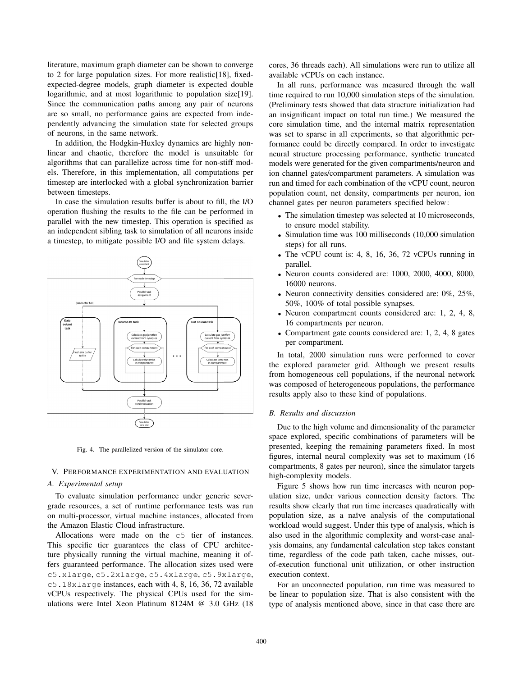literature, maximum graph diameter can be shown to converge to 2 for large population sizes. For more realistic[18], fixedexpected-degree models, graph diameter is expected double logarithmic, and at most logarithmic to population size[19]. Since the communication paths among any pair of neurons are so small, no performance gains are expected from independently advancing the simulation state for selected groups of neurons, in the same network.

In addition, the Hodgkin-Huxley dynamics are highly nonlinear and chaotic, therefore the model is unsuitable for algorithms that can parallelize across time for non-stiff models. Therefore, in this implementation, all computations per timestep are interlocked with a global synchronization barrier between timesteps.

In case the simulation results buffer is about to fill, the I/O operation flushing the results to the file can be performed in parallel with the new timestep. This operation is specified as an independent sibling task to simulation of all neurons inside a timestep, to mitigate possible I/O and file system delays.



Fig. 4. The parallelized version of the simulator core.

## V. PERFORMANCE EXPERIMENTATION AND EVALUATION

## *A. Experimental setup*

To evaluate simulation performance under generic severgrade resources, a set of runtime performance tests was run on multi-processor, virtual machine instances, allocated from the Amazon Elastic Cloud infrastructure.

Allocations were made on the c5 tier of instances. This specific tier guarantees the class of CPU architecture physically running the virtual machine, meaning it offers guaranteed performance. The allocation sizes used were c5.xlarge, c5.2xlarge, c5.4xlarge, c5.9xlarge, c5.18xlarge instances, each with 4, 8, 16, 36, 72 available vCPUs respectively. The physical CPUs used for the simulations were Intel Xeon Platinum 8124M @ 3.0 GHz (18 cores, 36 threads each). All simulations were run to utilize all available vCPUs on each instance.

In all runs, performance was measured through the wall time required to run 10,000 simulation steps of the simulation. (Preliminary tests showed that data structure initialization had an insignificant impact on total run time.) We measured the core simulation time, and the internal matrix representation was set to sparse in all experiments, so that algorithmic performance could be directly compared. In order to investigate neural structure processing performance, synthetic truncated models were generated for the given compartments/neuron and ion channel gates/compartment parameters. A simulation was run and timed for each combination of the vCPU count, neuron population count, net density, compartments per neuron, ion channel gates per neuron parameters specified below:

- The simulation timestep was selected at 10 microseconds, to ensure model stability.
- Simulation time was 100 milliseconds (10,000 simulation steps) for all runs.
- The vCPU count is: 4, 8, 16, 36, 72 vCPUs running in parallel.
- Neuron counts considered are: 1000, 2000, 4000, 8000, 16000 neurons.
- Neuron connectivity densities considered are: 0%, 25%, 50%, 100% of total possible synapses.
- Neuron compartment counts considered are: 1, 2, 4, 8, 16 compartments per neuron.
- Compartment gate counts considered are: 1, 2, 4, 8 gates per compartment.

In total, 2000 simulation runs were performed to cover the explored parameter grid. Although we present results from homogeneous cell populations, if the neuronal network was composed of heterogeneous populations, the performance results apply also to these kind of populations.

## *B. Results and discussion*

Due to the high volume and dimensionality of the parameter space explored, specific combinations of parameters will be presented, keeping the remaining parameters fixed. In most figures, internal neural complexity was set to maximum (16 compartments, 8 gates per neuron), since the simulator targets high-complexity models.

Figure 5 shows how run time increases with neuron population size, under various connection density factors. The results show clearly that run time increases quadratically with population size, as a naïve analysis of the computational workload would suggest. Under this type of analysis, which is also used in the algorithmic complexity and worst-case analysis domains, any fundamental calculation step takes constant time, regardless of the code path taken, cache misses, outof-execution functional unit utilization, or other instruction execution context.

For an unconnected population, run time was measured to be linear to population size. That is also consistent with the type of analysis mentioned above, since in that case there are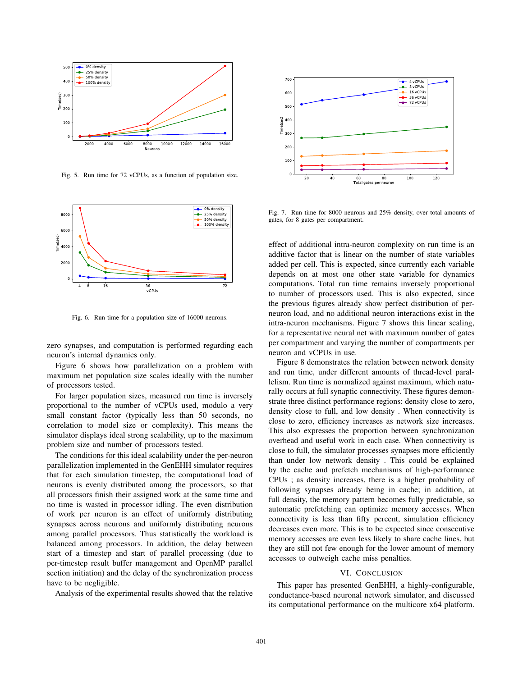

Fig. 5. Run time for 72 vCPUs, as a function of population size.



Fig. 6. Run time for a population size of 16000 neurons.

zero synapses, and computation is performed regarding each neuron's internal dynamics only.

Figure 6 shows how parallelization on a problem with maximum net population size scales ideally with the number of processors tested.

For larger population sizes, measured run time is inversely proportional to the number of vCPUs used, modulo a very small constant factor (typically less than 50 seconds, no correlation to model size or complexity). This means the simulator displays ideal strong scalability, up to the maximum problem size and number of processors tested.

The conditions for this ideal scalability under the per-neuron parallelization implemented in the GenEHH simulator requires that for each simulation timestep, the computational load of neurons is evenly distributed among the processors, so that all processors finish their assigned work at the same time and no time is wasted in processor idling. The even distribution of work per neuron is an effect of uniformly distributing synapses across neurons and uniformly distributing neurons among parallel processors. Thus statistically the workload is balanced among processors. In addition, the delay between start of a timestep and start of parallel processing (due to per-timestep result buffer management and OpenMP parallel section initiation) and the delay of the synchronization process have to be negligible.

Analysis of the experimental results showed that the relative



Fig. 7. Run time for 8000 neurons and 25% density, over total amounts of gates, for 8 gates per compartment.

effect of additional intra-neuron complexity on run time is an additive factor that is linear on the number of state variables added per cell. This is expected, since currently each variable depends on at most one other state variable for dynamics computations. Total run time remains inversely proportional to number of processors used. This is also expected, since the previous figures already show perfect distribution of perneuron load, and no additional neuron interactions exist in the intra-neuron mechanisms. Figure 7 shows this linear scaling, for a representative neural net with maximum number of gates per compartment and varying the number of compartments per neuron and vCPUs in use.

Figure 8 demonstrates the relation between network density and run time, under different amounts of thread-level parallelism. Run time is normalized against maximum, which naturally occurs at full synaptic connectivity. These figures demonstrate three distinct performance regions: density close to zero, density close to full, and low density . When connectivity is close to zero, efficiency increases as network size increases. This also expresses the proportion between synchronization overhead and useful work in each case. When connectivity is close to full, the simulator processes synapses more efficiently than under low network density . This could be explained by the cache and prefetch mechanisms of high-performance CPUs ; as density increases, there is a higher probability of following synapses already being in cache; in addition, at full density, the memory pattern becomes fully predictable, so automatic prefetching can optimize memory accesses. When connectivity is less than fifty percent, simulation efficiency decreases even more. This is to be expected since consecutive memory accesses are even less likely to share cache lines, but they are still not few enough for the lower amount of memory accesses to outweigh cache miss penalties.

#### VI. CONCLUSION

This paper has presented GenEHH, a highly-configurable, conductance-based neuronal network simulator, and discussed its computational performance on the multicore x64 platform.